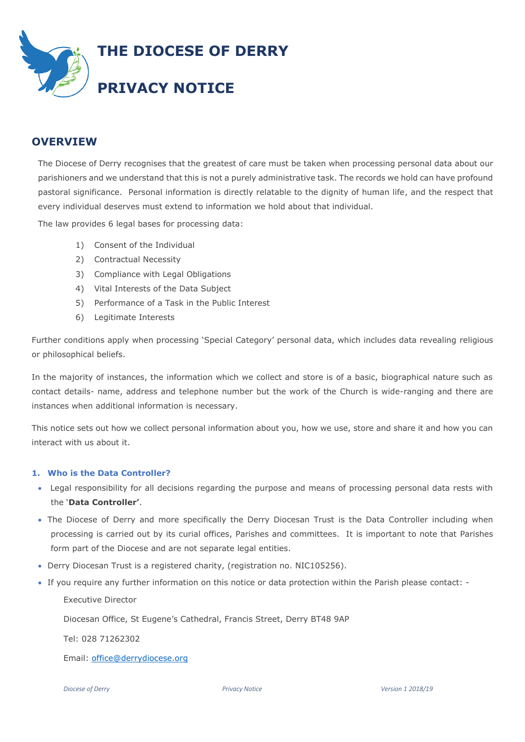

# **OVERVIEW**

The Diocese of Derry recognises that the greatest of care must be taken when processing personal data about our parishioners and we understand that this is not a purely administrative task. The records we hold can have profound pastoral significance. Personal information is directly relatable to the dignity of human life, and the respect that every individual deserves must extend to information we hold about that individual.

The law provides 6 legal bases for processing data:

- 1) Consent of the Individual
- 2) Contractual Necessity
- 3) Compliance with Legal Obligations
- 4) Vital Interests of the Data Subject
- 5) Performance of a Task in the Public Interest
- 6) Legitimate Interests

Further conditions apply when processing 'Special Category' personal data, which includes data revealing religious or philosophical beliefs.

In the majority of instances, the information which we collect and store is of a basic, biographical nature such as contact details- name, address and telephone number but the work of the Church is wide-ranging and there are instances when additional information is necessary.

This notice sets out how we collect personal information about you, how we use, store and share it and how you can interact with us about it.

## **1. Who is the Data Controller?**

- Legal responsibility for all decisions regarding the purpose and means of processing personal data rests with the '**Data Controller'**.
- The Diocese of Derry and more specifically the Derry Diocesan Trust is the Data Controller including when processing is carried out by its curial offices, Parishes and committees. It is important to note that Parishes form part of the Diocese and are not separate legal entities.
- Derry Diocesan Trust is a registered charity, (registration no. NIC105256).
- If you require any further information on this notice or data protection within the Parish please contact: -

Executive Director

Diocesan Office, St Eugene's Cathedral, Francis Street, Derry BT48 9AP

Tel: 028 71262302

Email: [office@derrydiocese.org](mailto:office@derrydiocese.org)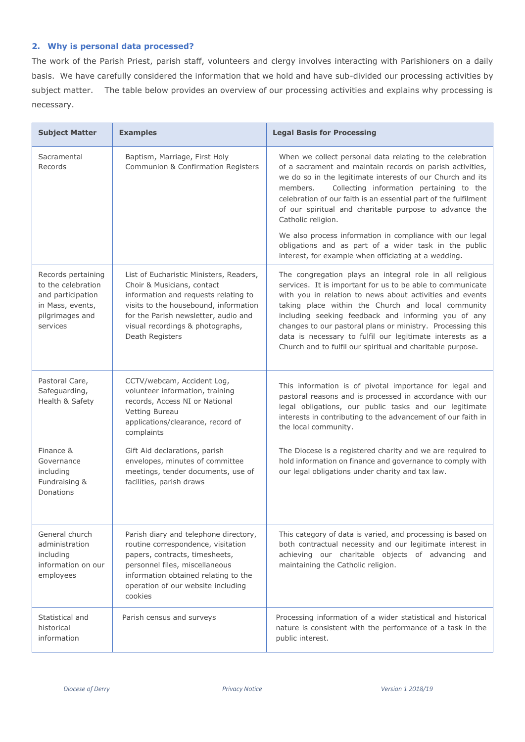# **2. Why is personal data processed?**

The work of the Parish Priest, parish staff, volunteers and clergy involves interacting with Parishioners on a daily basis. We have carefully considered the information that we hold and have sub-divided our processing activities by subject matter. The table below provides an overview of our processing activities and explains why processing is necessary.

| <b>Subject Matter</b>                                                                                            | <b>Examples</b>                                                                                                                                                                                                                                       | <b>Legal Basis for Processing</b>                                                                                                                                                                                                                                                                                                                                                                                                                                                        |
|------------------------------------------------------------------------------------------------------------------|-------------------------------------------------------------------------------------------------------------------------------------------------------------------------------------------------------------------------------------------------------|------------------------------------------------------------------------------------------------------------------------------------------------------------------------------------------------------------------------------------------------------------------------------------------------------------------------------------------------------------------------------------------------------------------------------------------------------------------------------------------|
| Sacramental<br>Records                                                                                           | Baptism, Marriage, First Holy<br>Communion & Confirmation Registers                                                                                                                                                                                   | When we collect personal data relating to the celebration<br>of a sacrament and maintain records on parish activities,<br>we do so in the legitimate interests of our Church and its<br>Collecting information pertaining to the<br>members.<br>celebration of our faith is an essential part of the fulfilment<br>of our spiritual and charitable purpose to advance the<br>Catholic religion.                                                                                          |
|                                                                                                                  |                                                                                                                                                                                                                                                       | We also process information in compliance with our legal<br>obligations and as part of a wider task in the public<br>interest, for example when officiating at a wedding.                                                                                                                                                                                                                                                                                                                |
| Records pertaining<br>to the celebration<br>and participation<br>in Mass, events,<br>pilgrimages and<br>services | List of Eucharistic Ministers, Readers,<br>Choir & Musicians, contact<br>information and requests relating to<br>visits to the housebound, information<br>for the Parish newsletter, audio and<br>visual recordings & photographs,<br>Death Registers | The congregation plays an integral role in all religious<br>services. It is important for us to be able to communicate<br>with you in relation to news about activities and events<br>taking place within the Church and local community<br>including seeking feedback and informing you of any<br>changes to our pastoral plans or ministry. Processing this<br>data is necessary to fulfil our legitimate interests as a<br>Church and to fulfil our spiritual and charitable purpose. |
| Pastoral Care,<br>Safeguarding,<br>Health & Safety                                                               | CCTV/webcam, Accident Log,<br>volunteer information, training<br>records, Access NI or National<br>Vetting Bureau<br>applications/clearance, record of<br>complaints                                                                                  | This information is of pivotal importance for legal and<br>pastoral reasons and is processed in accordance with our<br>legal obligations, our public tasks and our legitimate<br>interests in contributing to the advancement of our faith in<br>the local community.                                                                                                                                                                                                                    |
| Finance &<br>Governance<br>including<br>Fundraising &<br>Donations                                               | Gift Aid declarations, parish<br>envelopes, minutes of committee<br>meetings, tender documents, use of<br>facilities, parish draws                                                                                                                    | The Diocese is a registered charity and we are required to<br>hold information on finance and governance to comply with<br>our legal obligations under charity and tax law.                                                                                                                                                                                                                                                                                                              |
| General church<br>administration<br>including<br>information on our<br>employees                                 | Parish diary and telephone directory,<br>routine correspondence, visitation<br>papers, contracts, timesheets,<br>personnel files, miscellaneous<br>information obtained relating to the<br>operation of our website including<br>cookies              | This category of data is varied, and processing is based on<br>both contractual necessity and our legitimate interest in<br>achieving our charitable objects of advancing and<br>maintaining the Catholic religion.                                                                                                                                                                                                                                                                      |
| Statistical and<br>historical<br>information                                                                     | Parish census and surveys                                                                                                                                                                                                                             | Processing information of a wider statistical and historical<br>nature is consistent with the performance of a task in the<br>public interest.                                                                                                                                                                                                                                                                                                                                           |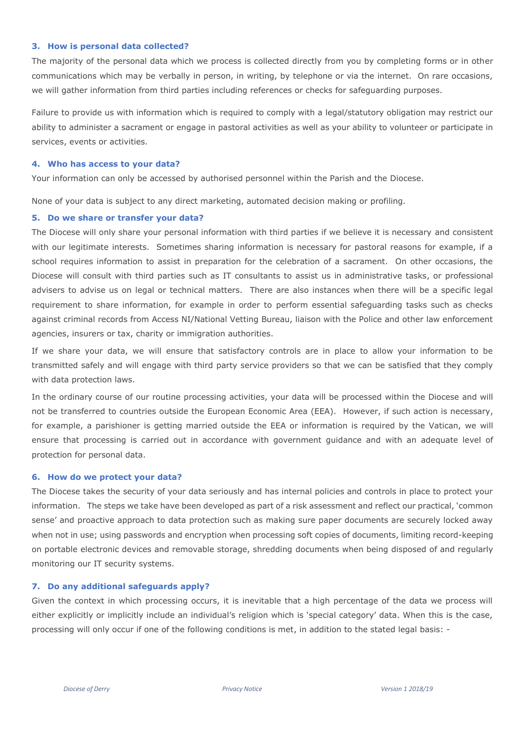#### **3. How is personal data collected?**

The majority of the personal data which we process is collected directly from you by completing forms or in other communications which may be verbally in person, in writing, by telephone or via the internet. On rare occasions, we will gather information from third parties including references or checks for safeguarding purposes.

Failure to provide us with information which is required to comply with a legal/statutory obligation may restrict our ability to administer a sacrament or engage in pastoral activities as well as your ability to volunteer or participate in services, events or activities.

#### **4. Who has access to your data?**

Your information can only be accessed by authorised personnel within the Parish and the Diocese.

None of your data is subject to any direct marketing, automated decision making or profiling.

#### **5. Do we share or transfer your data?**

The Diocese will only share your personal information with third parties if we believe it is necessary and consistent with our legitimate interests. Sometimes sharing information is necessary for pastoral reasons for example, if a school requires information to assist in preparation for the celebration of a sacrament. On other occasions, the Diocese will consult with third parties such as IT consultants to assist us in administrative tasks, or professional advisers to advise us on legal or technical matters. There are also instances when there will be a specific legal requirement to share information, for example in order to perform essential safeguarding tasks such as checks against criminal records from Access NI/National Vetting Bureau, liaison with the Police and other law enforcement agencies, insurers or tax, charity or immigration authorities.

If we share your data, we will ensure that satisfactory controls are in place to allow your information to be transmitted safely and will engage with third party service providers so that we can be satisfied that they comply with data protection laws.

In the ordinary course of our routine processing activities, your data will be processed within the Diocese and will not be transferred to countries outside the European Economic Area (EEA). However, if such action is necessary, for example, a parishioner is getting married outside the EEA or information is required by the Vatican, we will ensure that processing is carried out in accordance with government guidance and with an adequate level of protection for personal data.

## **6. How do we protect your data?**

The Diocese takes the security of your data seriously and has internal policies and controls in place to protect your information. The steps we take have been developed as part of a risk assessment and reflect our practical, 'common sense' and proactive approach to data protection such as making sure paper documents are securely locked away when not in use; using passwords and encryption when processing soft copies of documents, limiting record-keeping on portable electronic devices and removable storage, shredding documents when being disposed of and regularly monitoring our IT security systems.

## **7. Do any additional safeguards apply?**

Given the context in which processing occurs, it is inevitable that a high percentage of the data we process will either explicitly or implicitly include an individual's religion which is 'special category' data. When this is the case, processing will only occur if one of the following conditions is met, in addition to the stated legal basis: -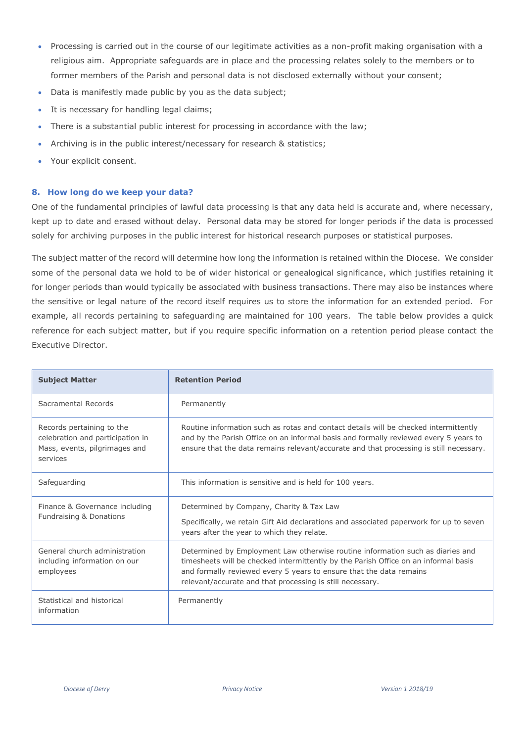- Processing is carried out in the course of our legitimate activities as a non-profit making organisation with a religious aim. Appropriate safeguards are in place and the processing relates solely to the members or to former members of the Parish and personal data is not disclosed externally without your consent;
- Data is manifestly made public by you as the data subject;
- It is necessary for handling legal claims;
- There is a substantial public interest for processing in accordance with the law;
- Archiving is in the public interest/necessary for research & statistics;
- Your explicit consent.

## **8. How long do we keep your data?**

One of the fundamental principles of lawful data processing is that any data held is accurate and, where necessary, kept up to date and erased without delay. Personal data may be stored for longer periods if the data is processed solely for archiving purposes in the public interest for historical research purposes or statistical purposes.

The subject matter of the record will determine how long the information is retained within the Diocese. We consider some of the personal data we hold to be of wider historical or genealogical significance, which justifies retaining it for longer periods than would typically be associated with business transactions. There may also be instances where the sensitive or legal nature of the record itself requires us to store the information for an extended period. For example, all records pertaining to safeguarding are maintained for 100 years. The table below provides a quick reference for each subject matter, but if you require specific information on a retention period please contact the Executive Director.

| <b>Subject Matter</b>                                                                                      | <b>Retention Period</b>                                                                                                                                                                                                                                                                                   |
|------------------------------------------------------------------------------------------------------------|-----------------------------------------------------------------------------------------------------------------------------------------------------------------------------------------------------------------------------------------------------------------------------------------------------------|
| Sacramental Records                                                                                        | Permanently                                                                                                                                                                                                                                                                                               |
| Records pertaining to the<br>celebration and participation in<br>Mass, events, pilgrimages and<br>services | Routine information such as rotas and contact details will be checked intermittently<br>and by the Parish Office on an informal basis and formally reviewed every 5 years to<br>ensure that the data remains relevant/accurate and that processing is still necessary.                                    |
| Safeguarding                                                                                               | This information is sensitive and is held for 100 years.                                                                                                                                                                                                                                                  |
| Finance & Governance including<br>Fundraising & Donations                                                  | Determined by Company, Charity & Tax Law<br>Specifically, we retain Gift Aid declarations and associated paperwork for up to seven<br>years after the year to which they relate.                                                                                                                          |
| General church administration<br>including information on our<br>employees                                 | Determined by Employment Law otherwise routine information such as diaries and<br>timesheets will be checked intermittently by the Parish Office on an informal basis<br>and formally reviewed every 5 years to ensure that the data remains<br>relevant/accurate and that processing is still necessary. |
| Statistical and historical<br>information                                                                  | Permanently                                                                                                                                                                                                                                                                                               |